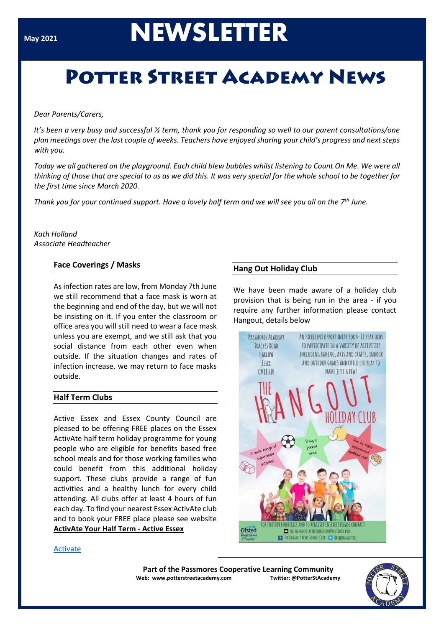# **May 2021**<br>**NEWSLETTER**

## **POTTER STREET ACADEMY NEWS**

#### *Dear Parents/Carers,*

*It's been a very busy and successful ½ term, thank you for responding so well to our parent consultations/one plan meetings over the last couple of weeks. Teachers have enjoyed sharing your child's progress and next steps with you.*

*Today we all gathered on the playground. Each child blew bubbles whilst listening to Count On Me. We were all thinking of those that are special to us as we did this. It was very special for the whole school to be together for the first time since March 2020.*

*Thank you for your continued support. Have a lovely half term and we will see you all on the 7th June.*

#### *Kath Holland Associate Headteacher*

#### **Face Coverings / Masks**

As infection rates are low, from Monday 7th June we still recommend that a face mask is worn at the beginning and end of the day, but we will not be insisting on it. If you enter the classroom or office area you will still need to wear a face mask unless you are exempt, and we still ask that you social distance from each other even when outside. If the situation changes and rates of infection increase, we may return to face masks outside.

#### **Half Term Clubs**

Active Essex and Essex County Council are pleased to be offering FREE places on the Essex ActivAte half term holiday programme for young people who are eligible for benefits based free school meals and for those working families who could benefit from this additional holiday support. These clubs provide a range of fun activities and a healthy lunch for every child attending. All clubs offer at least 4 hours of fun each day. To find your nearest Essex ActivAte club and to book your FREE place please see website **[ActivAte Your Half Term -](https://eur02.safelinks.protection.outlook.com/?url=https%3A%2F%2Fwww.activeessex.org%2Fessexactivate-halfterm%2F&data=04%7C01%7C%7C346ce0030e214363f1cf08d915fa0130%7Ca8b4324f155c4215a0f17ed8cc9a992f%7C0%7C0%7C637564986780097883%7CUnknown%7CTWFpbGZsb3d8eyJWIjoiMC4wLjAwMDAiLCJQIjoiV2luMzIiLCJBTiI6Ik1haWwiLCJXVCI6Mn0%3D%7C1000&sdata=TniISldm1C8GAYv7tAoWsIHW39CWW%2Be9hTJkrEw3bxU%3D&reserved=0) Active Essex**

#### **Hang Out Holiday Club**

We have been made aware of a holiday club provision that is being run in the area - if you require any further information please contact Hangout, details below



#### **[Activate](file:///C:/Users/c.pope/AppData/Local/Microsoft/Windows/INetCache/Content.Outlook/G4BP6GER/Parents%20Email%20-%20Half%20Term%20Clubs.pdf)**

**Part of the Passmores Cooperative Learning Community Web: www.potterstreetacademy.com Twitter: @PotterStAcademy**

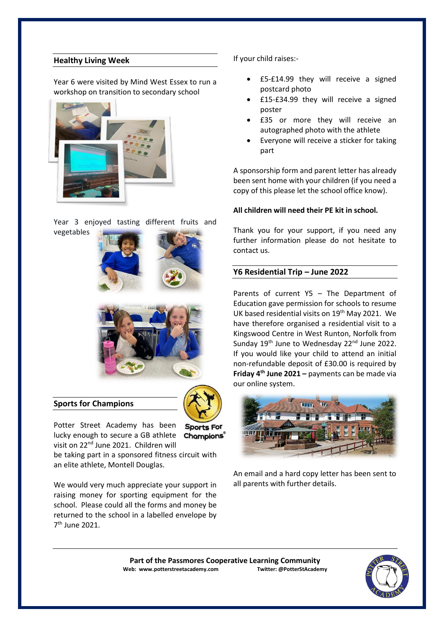#### **Healthy Living Week**

Year 6 were visited by Mind West Essex to run a workshop on transition to secondary school



Year 3 enjoyed tasting different fruits and vegetables





#### **Sports for Champions**



Potter Street Academy has been Sports For lucky enough to secure a GB athlete Champions® visit on 22<sup>nd</sup> June 2021. Children will

be taking part in a sponsored fitness circuit with an elite athlete, Montell Douglas.

We would very much appreciate your support in raising money for sporting equipment for the school. Please could all the forms and money be returned to the school in a labelled envelope by 7 th June 2021.

If your child raises:-

- £5-£14.99 they will receive a signed postcard photo
- £15-£34.99 they will receive a signed poster
- £35 or more they will receive an autographed photo with the athlete
- Everyone will receive a sticker for taking part

A sponsorship form and parent letter has already been sent home with your children (if you need a copy of this please let the school office know).

#### **All children will need their PE kit in school.**

Thank you for your support, if you need any further information please do not hesitate to contact us.

#### **Y6 Residential Trip – June 2022**

Parents of current Y5 – The Department of Education gave permission for schools to resume UK based residential visits on 19<sup>th</sup> May 2021. We have therefore organised a residential visit to a Kingswood Centre in West Runton, Norfolk from Sunday 19<sup>th</sup> June to Wednesday 22<sup>nd</sup> June 2022. If you would like your child to attend an initial non-refundable deposit of £30.00 is required by **Friday 4th June 2021 –** payments can be made via our online system.



An email and a hard copy letter has been sent to all parents with further details.